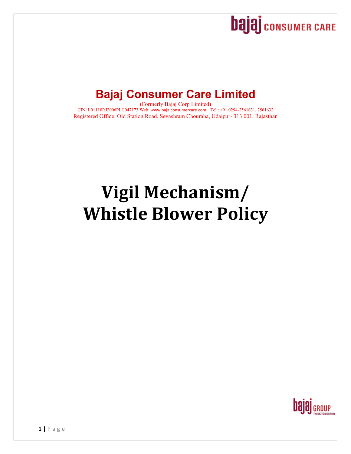

# **Bajaj Consumer Care Limited**

(Formerly Bajaj Corp Limited) CIN: L01110RJ2006PLC047173 Web: www.bajajconsumercare.com Tel.: +91 0294-2561631, 2561632 Registered Office: Old Station Road, Sevashram Chouraha, Udaipur- 313 001, Rajasthan

# **Vigil Mechanism/ Whistle Blower Policy**

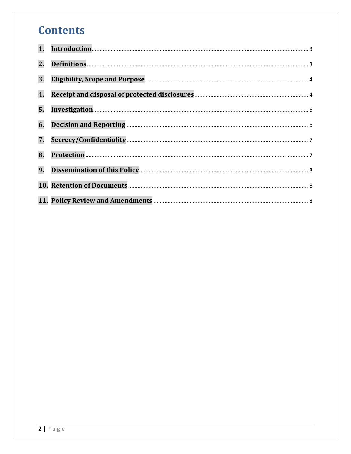# **Contents**

| 1. |  |
|----|--|
| 2. |  |
| 3. |  |
| 4. |  |
| 5. |  |
| 6. |  |
| 7. |  |
| 8. |  |
| 9. |  |
|    |  |
|    |  |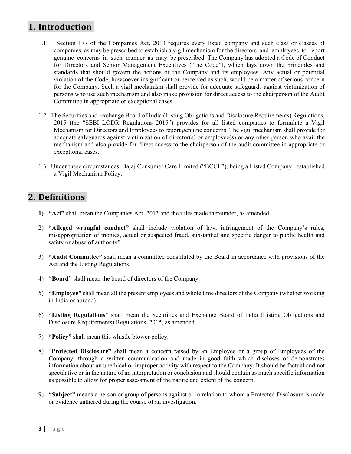#### 1. **Introduction**

- 1.1 Section 177 of the Companies Act, 2013 requires every listed company and such class or classes of companies, as may be prescribed to establish a vigil mechanism for the directors and employees to report genuine concerns in such manner as may be prescribed. The Company has adopted a Code of Conduct for Directors and Senior Management Executives ("the Code"), which lays down the principles and standards that should govern the actions of the Company and its employees. Any actual or potential violation of the Code, howsoever insignificant or perceived as such, would be a matter of serious concern for the Company. Such a vigil mechanism shall provide for adequate safeguards against victimization of persons who use such mechanism and also make provision for direct access to the chairperson of the Audit Committee in appropriate or exceptional cases.
- 1.2. The Securities and Exchange Board of India (Listing Obligations and Disclosure Requirements) Regulations, 2015 (the "SEBI LODR Regulations 2015") provides for all listed companies to formulate a Vigil Mechanism for Directors and Employees to report genuine concerns. The vigil mechanism shall provide for adequate safeguards against victimization of director(s) or employee(s) or any other person who avail the mechanism and also provide for direct access to the chairperson of the audit committee in appropriate or exceptional cases.
- 1.3. Under these circumstances, Bajaj Consumer Care Limited ("BCCL"), being a Listed Company established a Vigil Mechanism Policy.

#### **2. Definitions**

- **1) "Act"** shall mean the Companies Act, 2013 and the rules made thereunder, as amended.
- 2) **"Alleged wrongful conduct"** shall include violation of law, infringement of the Company's rules, misappropriation of monies, actual or suspected fraud, substantial and specific danger to public health and safety or abuse of authority".
- 3) **"Audit Committee"** shall mean a committee constituted by the Board in accordance with provisions of the Act and the Listing Regulations.
- 4) **"Board"** shall mean the board of directors of the Company.
- 5) **"Employee"** shall mean all the present employees and whole time directors of the Company (whether working in India or abroad).
- 6) **"Listing Regulations**" shall mean the Securities and Exchange Board of India (Listing Obligations and Disclosure Requirements) Regulations, 2015, as amended.
- 7) **"Policy"** shall mean this whistle blower policy.
- 8) "**Protected Disclosure"** shall mean a concern raised by an Employee or a group of Employees of the Company, through a written communication and made in good faith which discloses or demonstrates information about an unethical or improper activity with respect to the Company. It should be factual and not speculative or in the nature of an interpretation or conclusion and should contain as much specific information as possible to allow for proper assessment of the nature and extent of the concern.
- 9) **"Subject"** means a person or group of persons against or in relation to whom a Protected Disclosure is made or evidence gathered during the course of an investigation.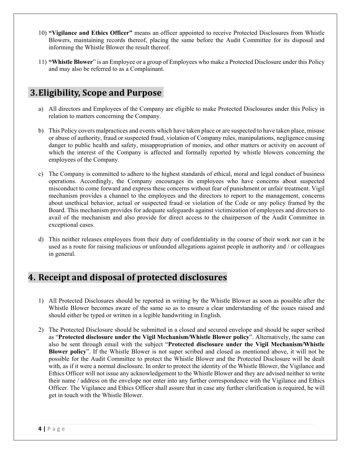- 10) **"Vigilance and Ethics Officer"** means an officer appointed to receive Protected Disclosures from Whistle Blowers, maintaining records thereof, placing the same before the Audit Committee for its disposal and informing the Whistle Blower the result thereof.
- 11) **"Whistle Blower**" is an Employee or a group of Employees who make a Protected Disclosure under this Policy and may also be referred to as a Complainant.

### **3.Eligibility, Scope and Purpose**

- a) All directors and Employees of the Company are eligible to make Protected Disclosures under this Policy in relation to matters concerning the Company.
- b) This Policy covers malpractices and events which have taken place or are suspected to have taken place, misuse or abuse of authority, fraud or suspected fraud, violation of Company rules, manipulations, negligence causing danger to public health and safety, misappropriation of monies, and other matters or activity on account of which the interest of the Company is affected and formally reported by whistle blowers concerning the employees of the Company.
- c) The Company is committed to adhere to the highest standards of ethical, moral and legal conduct of business operations. Accordingly, the Company encourages its employees who have concerns about suspected misconduct to come forward and express these concerns without fear of punishment or unfair treatment. Vigil mechanism provides a channel to the employees and the directors to report to the management, concerns about unethical behavior, actual or suspected fraud or violation of the Code or any policy framed by the Board. This mechanism provides for adequate safeguards against victimization of employees and directors to avail of the mechanism and also provide for direct access to the chairperson of the Audit Committee in exceptional cases.
- d) This neither releases employees from their duty of confidentiality in the course of their work nor can it be used as a route for raising malicious or unfounded allegations against people in authority and / or colleagues in general.

# **4. Receipt and disposal of protected disclosures**

- 1) All Protected Disclosures should be reported in writing by the Whistle Blower as soon as possible after the Whistle Blower becomes aware of the same so as to ensure a clear understanding of the issues raised and should either be typed or written in a legible handwriting in English.
- 2) The Protected Disclosure should be submitted in a closed and secured envelope and should be super scribed as "**Protected disclosure under the Vigil Mechanism/Whistle Blower policy**". Alternatively, the same can also be sent through email with the subject "**Protected disclosure under the Vigil Mechanism/Whistle Blower policy**". If the Whistle Blower is not super scribed and closed as mentioned above, it will not be possible for the Audit Committee to protect the Whistle Blower and the Protected Disclosure will be dealt with, as if it were a normal disclosure. In order to protect the identity of the Whistle Blower, the Vigilance and Ethics Officer will not issue any acknowledgement to the Whistle Blower and they are advised neither to write their name / address on the envelope nor enter into any further correspondence with the Vigilance and Ethics Officer. The Vigilance and Ethics Officer shall assure that in case any further clarification is required, he will get in touch with the Whistle Blower.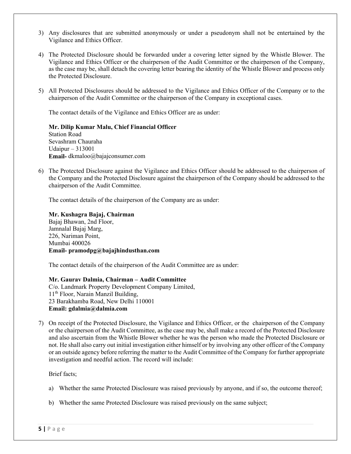- 3) Any disclosures that are submitted anonymously or under a pseudonym shall not be entertained by the Vigilance and Ethics Officer.
- 4) The Protected Disclosure should be forwarded under a covering letter signed by the Whistle Blower. The Vigilance and Ethics Officer or the chairperson of the Audit Committee or the chairperson of the Company, as the case may be, shall detach the covering letter bearing the identity of the Whistle Blower and process only the Protected Disclosure.
- 5) All Protected Disclosures should be addressed to the Vigilance and Ethics Officer of the Company or to the chairperson of the Audit Committee or the chairperson of the Company in exceptional cases.

The contact details of the Vigilance and Ethics Officer are as under:

**Mr. Dilip Kumar Malu, Chief Financial Officer** Station Road Sevashram Chauraha Udaipur – 313001 **Email-** dkmaloo@bajajconsumer.com

6) The Protected Disclosure against the Vigilance and Ethics Officer should be addressed to the chairperson of the Company and the Protected Disclosure against the chairperson of the Company should be addressed to the chairperson of the Audit Committee.

The contact details of the chairperson of the Company are as under:

**Mr. Kushagra Bajaj, Chairman**  Bajaj Bhawan, 2nd Floor, Jamnalal Bajaj Marg, 226, Nariman Point, Mumbai 400026 **Email- pramodpg@bajajhindusthan.com** 

The contact details of the chairperson of the Audit Committee are as under:

**Mr. Gaurav Dalmia, Chairman – Audit Committee**  C/o. Landmark Property Development Company Limited, 11<sup>th</sup> Floor, Narain Manzil Building, 23 Barakhamba Road, New Delhi 110001 **Email: gdalmia@dalmia.com** 

7) On receipt of the Protected Disclosure, the Vigilance and Ethics Officer, or the chairperson of the Company or the chairperson of the Audit Committee, as the case may be, shall make a record of the Protected Disclosure and also ascertain from the Whistle Blower whether he was the person who made the Protected Disclosure or not. He shall also carry out initial investigation either himself or by involving any other officer of the Company or an outside agency before referring the matter to the Audit Committee of the Company for further appropriate investigation and needful action. The record will include:

Brief facts;

- a) Whether the same Protected Disclosure was raised previously by anyone, and if so, the outcome thereof;
- b) Whether the same Protected Disclosure was raised previously on the same subject;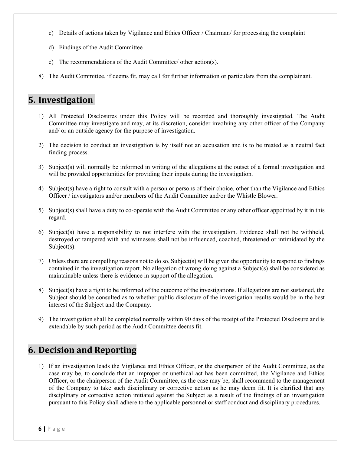- c) Details of actions taken by Vigilance and Ethics Officer / Chairman/ for processing the complaint
- d) Findings of the Audit Committee
- e) The recommendations of the Audit Committee/ other action(s).
- 8) The Audit Committee, if deems fit, may call for further information or particulars from the complainant.

#### **5.** Investigation

- 1) All Protected Disclosures under this Policy will be recorded and thoroughly investigated. The Audit Committee may investigate and may, at its discretion, consider involving any other officer of the Company and/ or an outside agency for the purpose of investigation.
- 2) The decision to conduct an investigation is by itself not an accusation and is to be treated as a neutral fact finding process.
- 3) Subject(s) will normally be informed in writing of the allegations at the outset of a formal investigation and will be provided opportunities for providing their inputs during the investigation.
- 4) Subject(s) have a right to consult with a person or persons of their choice, other than the Vigilance and Ethics Officer / investigators and/or members of the Audit Committee and/or the Whistle Blower.
- 5) Subject(s) shall have a duty to co-operate with the Audit Committee or any other officer appointed by it in this regard.
- 6) Subject(s) have a responsibility to not interfere with the investigation. Evidence shall not be withheld, destroyed or tampered with and witnesses shall not be influenced, coached, threatened or intimidated by the Subject(s).
- 7) Unless there are compelling reasons not to do so, Subject(s) will be given the opportunity to respond to findings contained in the investigation report. No allegation of wrong doing against a Subject(s) shall be considered as maintainable unless there is evidence in support of the allegation.
- 8) Subject(s) have a right to be informed of the outcome of the investigations. If allegations are not sustained, the Subject should be consulted as to whether public disclosure of the investigation results would be in the best interest of the Subject and the Company.
- 9) The investigation shall be completed normally within 90 days of the receipt of the Protected Disclosure and is extendable by such period as the Audit Committee deems fit.

# **6. Decision and Reporting**

1) If an investigation leads the Vigilance and Ethics Officer, or the chairperson of the Audit Committee, as the case may be, to conclude that an improper or unethical act has been committed, the Vigilance and Ethics Officer, or the chairperson of the Audit Committee, as the case may be, shall recommend to the management of the Company to take such disciplinary or corrective action as he may deem fit. It is clarified that any disciplinary or corrective action initiated against the Subject as a result of the findings of an investigation pursuant to this Policy shall adhere to the applicable personnel or staff conduct and disciplinary procedures.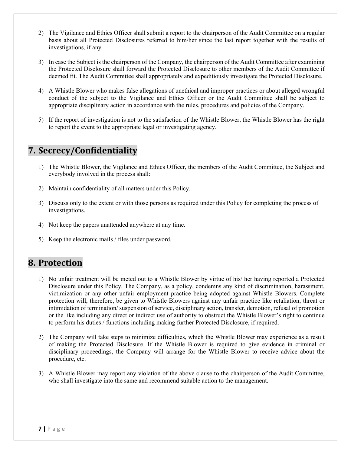- 2) The Vigilance and Ethics Officer shall submit a report to the chairperson of the Audit Committee on a regular basis about all Protected Disclosures referred to him/her since the last report together with the results of investigations, if any.
- 3) In case the Subject is the chairperson of the Company, the chairperson of the Audit Committee after examining the Protected Disclosure shall forward the Protected Disclosure to other members of the Audit Committee if deemed fit. The Audit Committee shall appropriately and expeditiously investigate the Protected Disclosure.
- 4) A Whistle Blower who makes false allegations of unethical and improper practices or about alleged wrongful conduct of the subject to the Vigilance and Ethics Officer or the Audit Committee shall be subject to appropriate disciplinary action in accordance with the rules, procedures and policies of the Company.
- 5) If the report of investigation is not to the satisfaction of the Whistle Blower, the Whistle Blower has the right to report the event to the appropriate legal or investigating agency.

# **7. Secrecy/Confidentiality**

- 1) The Whistle Blower, the Vigilance and Ethics Officer, the members of the Audit Committee, the Subject and everybody involved in the process shall:
- 2) Maintain confidentiality of all matters under this Policy.
- 3) Discuss only to the extent or with those persons as required under this Policy for completing the process of investigations.
- 4) Not keep the papers unattended anywhere at any time.
- 5) Keep the electronic mails / files under password.

# **8. Protection**

- 1) No unfair treatment will be meted out to a Whistle Blower by virtue of his/ her having reported a Protected Disclosure under this Policy. The Company, as a policy, condemns any kind of discrimination, harassment, victimization or any other unfair employment practice being adopted against Whistle Blowers. Complete protection will, therefore, be given to Whistle Blowers against any unfair practice like retaliation, threat or intimidation of termination/ suspension of service, disciplinary action, transfer, demotion, refusal of promotion or the like including any direct or indirect use of authority to obstruct the Whistle Blower's right to continue to perform his duties / functions including making further Protected Disclosure, if required.
- 2) The Company will take steps to minimize difficulties, which the Whistle Blower may experience as a result of making the Protected Disclosure. If the Whistle Blower is required to give evidence in criminal or disciplinary proceedings, the Company will arrange for the Whistle Blower to receive advice about the procedure, etc.
- 3) A Whistle Blower may report any violation of the above clause to the chairperson of the Audit Committee, who shall investigate into the same and recommend suitable action to the management.